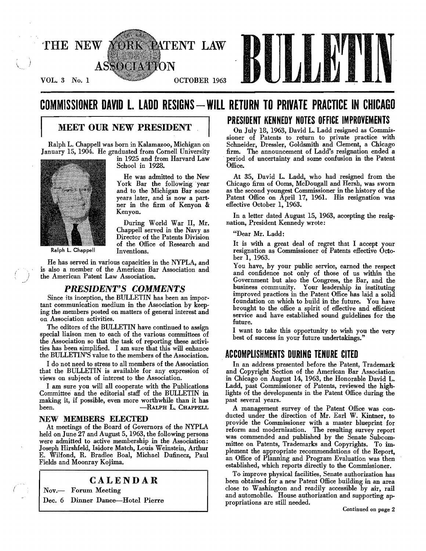

# **COMMISSIONER DAVID L. LADD RESIGNS - WILL RETURN TO PRIVATE PRACTICE IN CHICAGO**

### **MEET OUR NEW PRESIDENT**

Ralph L. Chappell was born in Kalamazoo, Michigan on January 15, 1904. He graduated from Cornell University



Ralph L. Chappell

in 1925 and from Harvard Law School in 1928.

He was admitted to the New York Bar the following year and to the Michigan Bar some years later, and is now a part· ner in the firm of Kenyon & Kenyon.

During World War II, Mr. Chappell served in the Navy as Director of the Patents Division of the Office of Research and Inventions.

He has served in various capacities in the NYPLA, and is also a member of the American Bar Association and the American Patent Law Association.

### PRESIDENT'S COMMENTS

Since its inception, the BULLETIN has been an important communication medium in the Association by keeping the members posted on matters of general interest and on Association activities.

The editors of the BULLETIN have continued to assign special liaison men to each of the various committees of the Association so that the task of reporting these activi· ties has been simplified. I am sure that this will enhance the BULLETIN'S value to the members of the Association.

I do not need to stress to all members of the Association that the BULLETIN is available for any expression of views on subjects of interest to the Association.

I am sure you will all cooperate with the Publications Committee and the editorial staff of the BULLETIN in making it, if possible, even more worthwhile than it has been. - RALPH L. CHAPPELL

#### NEW MEMBERS ELECTED

At meetings of the Board of Governors of the NYPLA held on June 27 and August 5, 1963, the following persons were admitted to active membership in the Association: Joseph Hirshfeld, Isidore Match, Louis Weinstein, Arthur E. Wilfond, R. Bradlee Boa!, Michael Dufinecz, Paul Fields and Moonray Kojima.

### CALENDAR

Nov.-- Forum Meeting

Dec. 6 Dinner Dance-Hotel Pierre

### PRESIDENT KENNEDY NOTES OFFICE IMPROVEMENTS

On July 18, 1963, David L. Ladd resigned as Commis· sioner of Patents to return to private practice with Schneider, Dressler, Goldsmith and Clement, a Chicago firm. The announcement of Ladd's resignation ended a period of uncertainty and some confusion in the Patent Office.

At 35, David L. Ladd, who had resigned from the Chicago firm of Ooms, McDougall and Hersh, was sworn as the second youngest Commissioner in the history of the Patent Office on April 17, 1961. His resignation was effective October 1, 1963.

In a letter dated August 15, 1963, accepting the resignation, President Kennedy wrote:

"Dear Mr. Ladd:

It is with a great deal of regret that I accept your resignation as Commissioner of Patents effective Octo· ber 1, 1963.

You have, by your public service, earned the respect and confidence not only of those of us within the Government but also the Congress, the Bar, and the business community. Your leadership in instituting improved practices in the Patent Office has laid a solid foundation on which to build in the future. You have brought to the office a spirit of effective and efficient service and have established sound guidelines for the future.

I want to take this opportunity to wish you the very best of success in your future undertakings."

### ACCOMPLISHMENTS DURING TENURE CITED

In an address presented before the Patent, Trademark and Copyright Section of the American Bar Association in Chicago on August 14, 1963, the Honorable David L. Ladd, past Commissioner of Patents, reviewed the highlights of the developments in the Patent Office during the past several years.

A management survey of the Patent Office was conducted under the direction of Mr. Earl W. Kintner, to provide the Commissioner with a master blueprint for reform and modernization. The resulting survey report was commended and published by the Senate Subcom. mittee on Patents, Trademarks and Copyrights. To im. plement the appropriate recommendations of the Report, an Office of Planning and Program Evaluation was then established, which reports directly to the Commissioner.

To improve physical facilities, Senate authorization has been obtained for a new Patent Office building in an area close to Washington and readily accessible by air, rail and automobile. House authorization and supporting ap· propriations are still needed.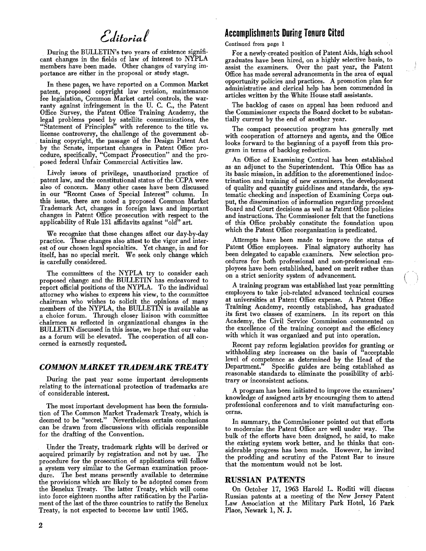# Editorial

. During the BULLETIN's two years of existence significant changes in the fields of law of interest to NYPLA members have been made. Other changes of varying importance are either in the proposal or study stage.

In these pages, we have reported on a Common Market patent, proposed copyright law revision, maintenance fee legislation, Common Market cartel controls, the warranty against infringement in the U. C. C., the Patent Office Survey, the Patent Office Training Academy, the legal problems posed by satellite communications, the "Statement of Principles" with reference to the title vs. license controversy, the challenge of the government ob· taining copyright, the passage of the Design Patent Act by the Senate, important changes in Patent Office procedure, specifically, "Compact Prosecution" and the pro· posed federal Unfair Commercial Activities law.

Lively issues of privilege, unauthorized practice of patent law, and the constitutional status of the CCPA were also of concern. Many other cases have been discussed in our "Recent Cases of Special Interest" column. In this issue, there are noted a proposed Common Market Trademark Act, changes in foreign laws and important changes in Patent Office prosecution with respect to the applicability of Rule 131 affidavits against "old" art.

We recognize that these changes affect our day.by-day practice. These changes also attest to the vigor and interest of our chosen legal specialties. Yet change, in and for itself, has no special merit. We seek only change which is carefully considered.

The committees of the NYPLA try to consider each proposed change and the BULLETIN has endeavored to report official positions of the NYPLA. To the individual attorney who wishes to express his view, to the committee chairman who wishes to solicit the opinions of many members of the NYPLA, the BULLETIN is available as a choice forum. Through closer liaison with committee chairmen as reflected in organizational changes in the BULLETIN discussed in this issue, we hope that our value as a forum will be elevated. The cooperation of all concerned is earnestly requested.

### **COMMON MARKET TRADEMARK TREATY**

During the past year some important developments relating to the international protection of trademarks are of considerable interest.

The most important development has been the formulation of The Common Market Trademark Treaty, which is deemed to be "secret." Nevertheless certain conclusions can be drawn from discussions with officials responsible for the drafting of the Convention.

Under the Treaty, trademark rights will be derived or acquired primarily by registration and not by use. The procedure for the prosecution of applications will follow a system very similar to the German examination procedure. The best means presently available to determine the provisions which are likely to be adopted comes from the Benelux Treaty. The latter Treaty, which will come into force eighteen months after ratification by the Parliament of the last of the three countries to ratify the Benelux Treaty, is not expected to become law until 1965.

### **Accomplishments During Tenure Cited**

#### Continued from page 1

For a newly-created position of Patent Aids, high school graduates have been hired, on a highly selective basis, to assist the examiners. Over the past year, the Patent Office has made several advancements in the area of equal opportunity policies and practices. A promotion plan for administrative and clerical help has been commended in articles written by the White House staff assistants.

The backlog of cases on appeal has been reduced and the Commissioner expects the Board docket to be substantially current by the end of another year.

The compact prosecution program has generally met with cooperation of attorneys and agents, and the Office looks forward to the beginning of a payoff from this program in terms of backlog reduction.

An Office of Examining Control has been established as an adjunct to the Superintendent. This Office has as its basic mission, in addition to the aforementioned indoctrination and training of new examiners, the development of quality and quantity guidelines and standards, the systematic checking and inspection of Examining Corps out· put, the dissemination of information regarding precedent Board and Court decisions as well as Patent Office policies and instructions. The Commissioner felt that the functions of this Office probably constitute the foundation upon which the Patent Office reorganization is predicated.

Attempts have been made to improve the status of Patent Office employees. Final signatory authority has been delegated to capable examiners. New selection procedures for both professional and non·professional em· ployees have been established, based on merit rather than on a strict seniority system of advancement.

A training program was established last year permitting employees to take job-related advanced technical courses at universities at Patent Office expense. A Patent Office Training Academy, recently established, has graduated its first two classes of examiners. In its report on this Academy, the Civil Service Commission commented on the excellence of the training concept and the efficiency with which it was organized and put into operation.

Recent pay reform legislation provides for granting or withholding step increases on the basis of "acceptable level of competence as determined by the Head of the Department." Specific guides are being established as reasonable standards to eliminate the possibility of arbi· trary or inconsistent actions.

A program has been initiated to improve the examiners' knowledge of assigned arts by encouraging them to attend professional conferences and to visit manufacturing con· cerns.

In summary, the Commissioner pointed out that efforts to modernize the Patent Office are well under way. The bulk of the efforts have been designed, he said, to make the existing system work better, and he thinks that considerable progress has been made. However, he invited the prodding and scrutiny of the Patent Bar to insure that the momentum would not be lost.

### **RUSSIAN PATENTS**

On October 17, 1963 Harold L. Roditi will discuss Russian patents at a meeting of the New Jersey Patent Law Association at the Military Park Hotel, 16 Park Place, Newark 1, N. J.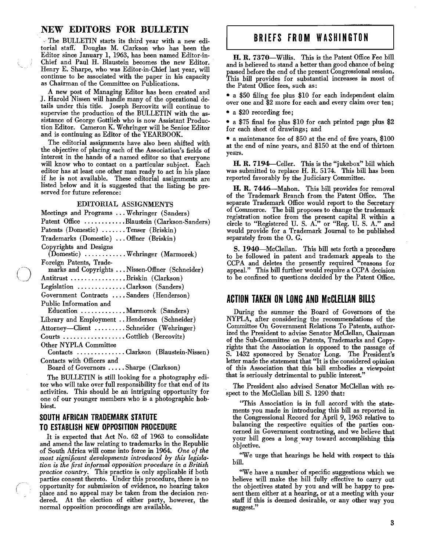### NEW EDITORS FOR BULLETIN

- The BULLETIN starts its third year with a new editorial staff. Douglas M. Clarkson who has been the Editor since January 1, 1963, has been named Editor-in-Chief and Paul H. Blaustein becomes the new Editor. Henry E. Sharpe, who was Editor-in-Chief last year, will continue to be associated with the paper in his capacity as Chairman of the Committee on Publications.

A new post of Managing Editor has been created and J. Harold Nissen will handle many of the operational details under this title. Joseph Bercovitz will continue to supervise the production of the BULLETIN with the assistance of George Gottlieb who is now Assistant Production Editor. Cameron K. Wehringer will be Senior Editor and is continuing as Editor of the YEARBOOK.

The editorial assignments have also been shifted with the objective of placing each of the Association's fields of interest in the hands of a named editor so that everyone will know who to contact on a particular subject. Each editor has at least one other man ready to act in his place if he is not available. These editorial assignments are listed below and it is suggested that the listing be preserved for future reference:

#### EDITORIAL ASSIGNMENTS

| Meetings and Programs  Wehringer (Sanders)                                 |
|----------------------------------------------------------------------------|
| Patent Office Blaustein (Clarkson-Sanders)                                 |
| Patents (Domestic) Tenser (Briskin)                                        |
| Trademarks (Domestic)  Offner (Briskin)                                    |
| Copyrights and Designs<br>(Domestic) Wehringer (Marmorek)                  |
| Foreign Patents, Trade-                                                    |
| marks and Copyrights  Nissen-Offner (Schneider)                            |
| Antitrust Briskin (Clarkson)                                               |
| Legislation Clarkson (Sanders)                                             |
| Government Contracts  Sanders (Henderson)                                  |
| Public Information and                                                     |
| Education Marmorek (Sanders)                                               |
| Library and Employment Henderson (Schneider)                               |
| Attorney—Client Schneider (Wehringer)                                      |
| Courts Gottlieb (Bercovitz)                                                |
| Other NYPLA Committee                                                      |
| Contacts Clarkson (Blaustein-Nissen)                                       |
| Contacts with Officers and                                                 |
| $Cl_{\text{num}}$ (Clarkson)<br>$D_{\text{total}}$ of $C_{\text{thermal}}$ |

Board of Governors ..... Sharpe (Clarkson)

The BULLETIN is still looking for a photography editor who will take over full responsibility for that end of its activities. This should be an intriguing opportunity for one of our younger members who is a photographic hobbiest.

### SOUTH AFRICAN TRADEMARK STATUTE TO ESTABLISH NEW OPPOSITION PROCEDURE

It is expected that Act No. 62 of 1963 to consolidate and amend the law relating to trademarks in the Republic of South Africa will come into force in 1964. *One of the most significant developments introduced by this legislation is the first informal opposition procedure in a British practice country.* This practice is only applicable if both parties consent thereto. Under this procedure, there is no opportunity for submission of evidence, no hearing takes place and no appeal may be taken from the decision rendered. At the election of either party, however, the normal opposition proceedings are available.

### BRIEFS FROM WASHINGTON

H. R. 7370-Willis. This is the Patent Office Fee bill and is believed to stand a better than good chance of being passed before the end of the present Congressional session. This bill provides for substantial increases in most of the Patent Office fees, such as:

• a \$50 filing fee plus \$10 for each independent claim over one and \$2 more for each and every claim over ten;

• a \$20 recording fee;

• a \$75 final fee plus \$10 for each printed page plus \$2 for each sheet of drawings; and

• a maintenance fee of \$50 at the end of five years, \$100 at the end of nine years, and \$150 at the end of thirteen years.

H. R. 7194—Celler. This is the "jukebox" bill which was submitted to replace H. R. 5174. This bill has been reported favorably by the Judiciary Committee.

H. R. 7446-Mahon. This bill provides for removal of the Trademark Branch from the Patent Office. The separate Trademark Office would report to the Secretary of Commerce. The bill proposes to change the trademark registration notice from the present capital R within a circle to "Registered U. S. A." or "Reg. U. S. A." and would provide for a Trademark Journal to be published separately from the O. G.

S. 1940-McClellan. This bill sets forth a procedure to be followed in patent and trademark appeals to the CCPA and deletes the presently required "reasons for appeal." This bill further would require a CCPA decision to be confined to questions decided by the Patent Office.

### ACTION TAKEN ON LONG AND McCLELLAN BILLS

During the summer the Board of Governors of the NYPLA, after considering the recommendations of the Committee On Government Relations To Patents, authorized the President to advise Senator McClellan, Chairman of the Sub-Committee on Patents, Trademarks and Copyrights that the Association is opposed to the passage of S. 1432 sponsored by Senator Long. The President's letter made the statement that "It is the considered opinion of this Association that this bill embodies a viewpoint that is seriously detrimental to public interest."

The President also advised Senator McClellan with respect to the McClellan bill S. 1290 that:

"This Association is in full accord with the statements you made in introducing this bill as reported in the Congressional Record for April 9, 1963 relative to balancing the respective equities of the parties concerned in Government contracting, and we believe that your bill goes a long way toward accomplishing this objective.

"We urge that hearings be held with respect to this bill.

"We have a number of specific suggestions which we believe will make the bill fully effective to carry out the objectives stated by you and will be happy to present them either at a hearing, or at a meeting with your staff if this is deemed desirable, or any other way you suggest."